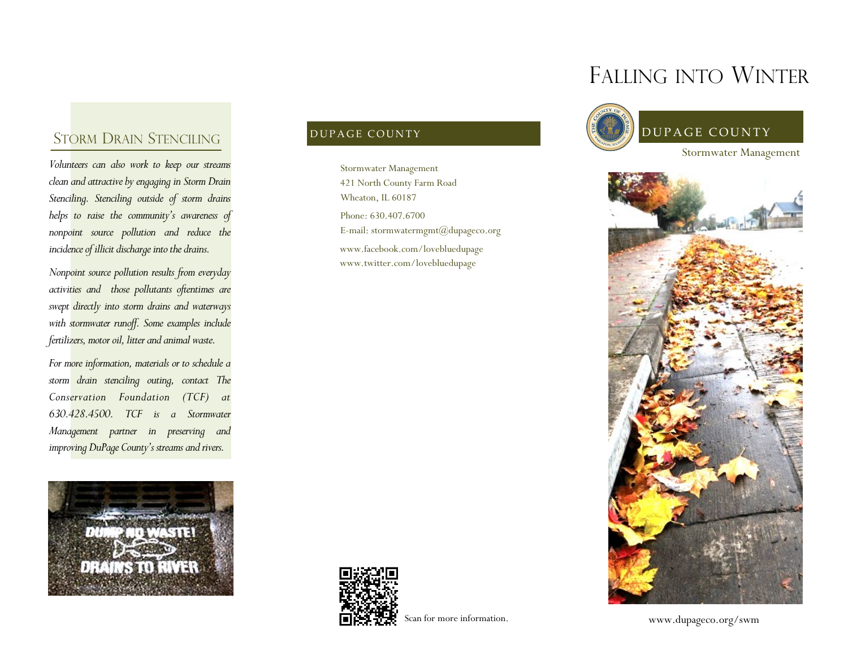## STORM DRAIN STENCILING

*Volunteers can also work to keep our streams clean and attractive by engaging in Storm Drain Stenciling. Stenciling outside of storm drains helps to raise the community's awareness of nonpoint source pollution and reduce the incidence of illicit discharge into the drains.* 

*Nonpoint source pollution results from everyday activities and those pollutants oftentimes are swept directly into storm drains and waterways with stormwater runoff. Some examples include fertilizers, motor oil, litter and animal waste.*

*For more information, materials or to schedule a storm drain stenciling outing, contact The Conservation Foundation (TCF) at 630.428.4500. TCF is a Stormwater Management partner in preserving and improving DuPage County's streams and rivers.*



Phone: 630.407.6700 E-mail: stormwatermgmt@dupageco.org Stormwater Management 421 North County Farm Road Wheaton, IL 60187 www.facebook.com/lovebluedupage www.twitter.com/lovebluedupage



Scan for more information.

# FALLING INTO WINTER